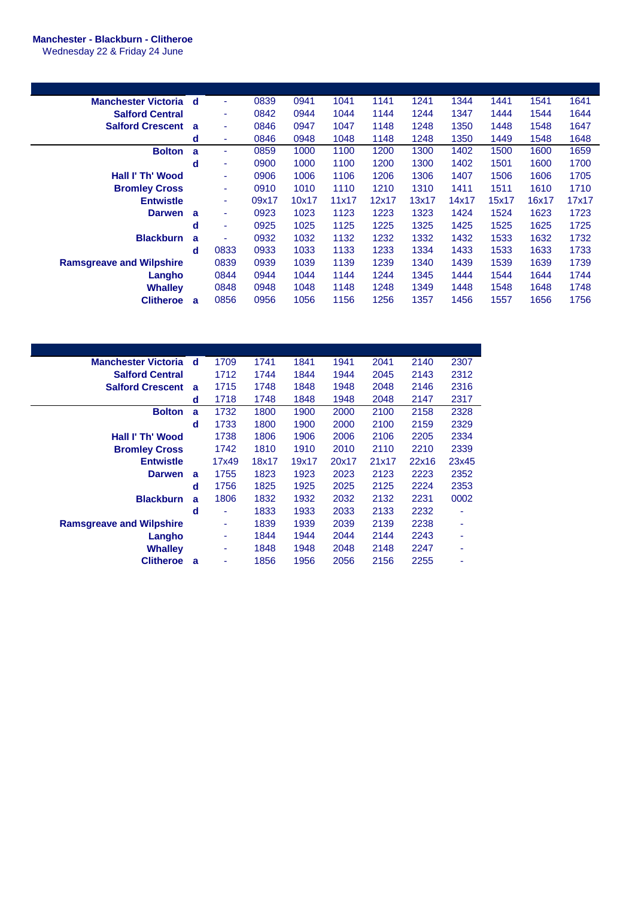## **Manchester - Blackburn - Clitheroe**

Wednesday 22 & Friday 24 June

| Manchester Victoria d           |   | $\blacksquare$           | 0839  | 0941  | 1041  | 1141  | 1241  | 1344  | 1441  | 1541  | 1641  |
|---------------------------------|---|--------------------------|-------|-------|-------|-------|-------|-------|-------|-------|-------|
| <b>Salford Central</b>          |   | ٠                        | 0842  | 0944  | 1044  | 1144  | 1244  | 1347  | 1444  | 1544  | 1644  |
| <b>Salford Crescent</b>         | a | ٠                        | 0846  | 0947  | 1047  | 1148  | 1248  | 1350  | 1448  | 1548  | 1647  |
|                                 | d | $\overline{\phantom{a}}$ | 0846  | 0948  | 1048  | 1148  | 1248  | 1350  | 1449  | 1548  | 1648  |
| <b>Bolton</b>                   | a | ۰                        | 0859  | 1000  | 1100  | 1200  | 1300  | 1402  | 1500  | 1600  | 1659  |
|                                 | d | $\overline{\phantom{a}}$ | 0900  | 1000  | 1100  | 1200  | 1300  | 1402  | 1501  | 1600  | 1700  |
| Hall I' Th' Wood                |   | $\overline{\phantom{a}}$ | 0906  | 1006  | 1106  | 1206  | 1306  | 1407  | 1506  | 1606  | 1705  |
| <b>Bromley Cross</b>            |   | ٠                        | 0910  | 1010  | 1110  | 1210  | 1310  | 1411  | 1511  | 1610  | 1710  |
| <b>Entwistle</b>                |   | ٠                        | 09x17 | 10x17 | 11x17 | 12x17 | 13x17 | 14x17 | 15x17 | 16x17 | 17x17 |
| <b>Darwen</b>                   | a | ٠                        | 0923  | 1023  | 1123  | 1223  | 1323  | 1424  | 1524  | 1623  | 1723  |
|                                 | d | ٠                        | 0925  | 1025  | 1125  | 1225  | 1325  | 1425  | 1525  | 1625  | 1725  |
| <b>Blackburn</b>                | a | ٠                        | 0932  | 1032  | 1132  | 1232  | 1332  | 1432  | 1533  | 1632  | 1732  |
|                                 | d | 0833                     | 0933  | 1033  | 1133  | 1233  | 1334  | 1433  | 1533  | 1633  | 1733  |
| <b>Ramsgreave and Wilpshire</b> |   | 0839                     | 0939  | 1039  | 1139  | 1239  | 1340  | 1439  | 1539  | 1639  | 1739  |
| Langho                          |   | 0844                     | 0944  | 1044  | 1144  | 1244  | 1345  | 1444  | 1544  | 1644  | 1744  |
| Whalley                         |   | 0848                     | 0948  | 1048  | 1148  | 1248  | 1349  | 1448  | 1548  | 1648  | 1748  |
| <b>Clitheroe</b>                | a | 0856                     | 0956  | 1056  | 1156  | 1256  | 1357  | 1456  | 1557  | 1656  | 1756  |

| <b>Manchester Victoria</b>      | d            | 1709  | 1741  | 1841  | 1941  | 2041  | 2140  | 2307  |
|---------------------------------|--------------|-------|-------|-------|-------|-------|-------|-------|
| <b>Salford Central</b>          |              | 1712  | 1744  | 1844  | 1944  | 2045  | 2143  | 2312  |
| <b>Salford Crescent</b>         | a            | 1715  | 1748  | 1848  | 1948  | 2048  | 2146  | 2316  |
|                                 | d            | 1718  | 1748  | 1848  | 1948  | 2048  | 2147  | 2317  |
| <b>Bolton</b>                   | $\mathbf{a}$ | 1732  | 1800  | 1900  | 2000  | 2100  | 2158  | 2328  |
|                                 | d            | 1733  | 1800  | 1900  | 2000  | 2100  | 2159  | 2329  |
| Hall I' Th' Wood                |              | 1738  | 1806  | 1906  | 2006  | 2106  | 2205  | 2334  |
| <b>Bromley Cross</b>            |              | 1742  | 1810  | 1910  | 2010  | 2110  | 2210  | 2339  |
| <b>Entwistle</b>                |              | 17x49 | 18x17 | 19x17 | 20x17 | 21x17 | 22x16 | 23x45 |
| <b>Darwen</b>                   | a            | 1755  | 1823  | 1923  | 2023  | 2123  | 2223  | 2352  |
|                                 | d            | 1756  | 1825  | 1925  | 2025  | 2125  | 2224  | 2353  |
| <b>Blackburn</b>                | a            | 1806  | 1832  | 1932  | 2032  | 2132  | 2231  | 0002  |
|                                 | d            | ٠     | 1833  | 1933  | 2033  | 2133  | 2232  |       |
| <b>Ramsgreave and Wilpshire</b> |              | ۰     | 1839  | 1939  | 2039  | 2139  | 2238  |       |
| Langho                          |              | ٠     | 1844  | 1944  | 2044  | 2144  | 2243  |       |
| <b>Whalley</b>                  |              | ٠     | 1848  | 1948  | 2048  | 2148  | 2247  |       |
|                                 |              |       |       |       |       |       |       |       |
| <b>Clitheroe</b>                | a            | ۰     | 1856  | 1956  | 2056  | 2156  | 2255  |       |